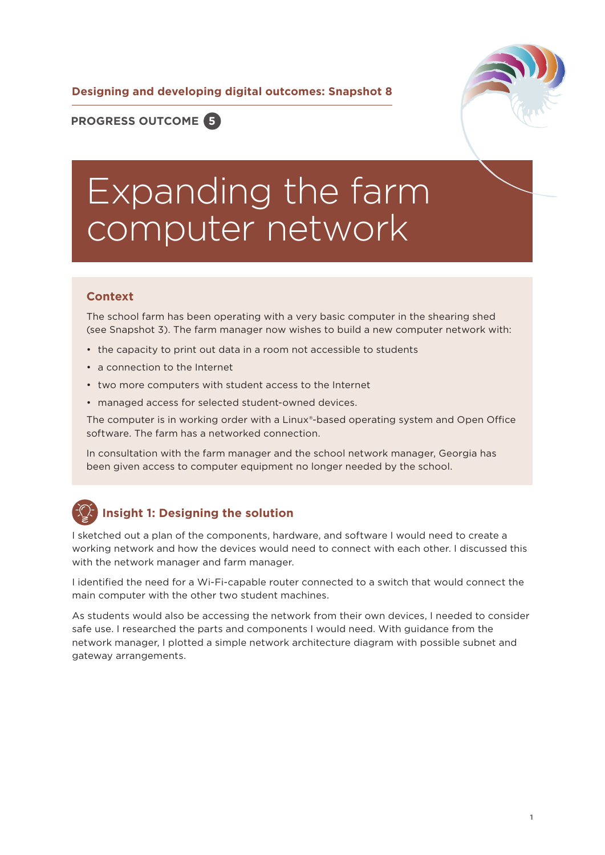**Designing and developing digital outcomes: Snapshot 8**



**PROGRESS OUTCOME 5**

# Expanding the farm computer network

#### **Context**

The school farm has been operating with a very basic computer in the shearing shed (see Snapshot 3). The farm manager now wishes to build a new computer network with:

- the capacity to print out data in a room not accessible to students
- a connection to the Internet
- two more computers with student access to the Internet
- managed access for selected student-owned devices.

The computer is in working order with a Linux®-based operating system and Open Office software. The farm has a networked connection.

In consultation with the farm manager and the school network manager, Georgia has been given access to computer equipment no longer needed by the school.

# **Insight 1: Designing the solution**

I sketched out a plan of the components, hardware, and software I would need to create a working network and how the devices would need to connect with each other. I discussed this with the network manager and farm manager.

I identified the need for a Wi-Fi-capable router connected to a switch that would connect the main computer with the other two student machines.

As students would also be accessing the network from their own devices, I needed to consider safe use. I researched the parts and components I would need. With guidance from the network manager, I plotted a simple network architecture diagram with possible subnet and gateway arrangements.